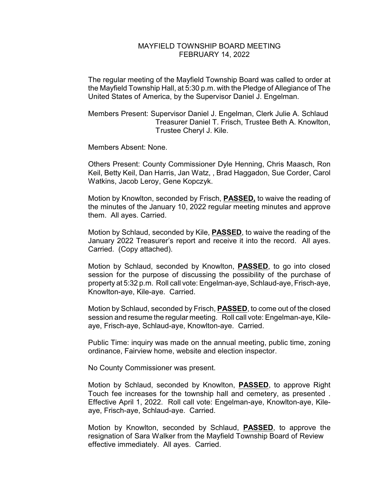## MAYFIELD TOWNSHIP BOARD MEETING FEBRUARY 14, 2022

The regular meeting of the Mayfield Township Board was called to order at the Mayfield Township Hall, at 5:30 p.m. with the Pledge of Allegiance of The United States of America, by the Supervisor Daniel J. Engelman.

Members Present: Supervisor Daniel J. Engelman, Clerk Julie A. Schlaud Treasurer Daniel T. Frisch, Trustee Beth A. Knowlton, Trustee Cheryl J. Kile.

Members Absent: None.

Others Present: County Commissioner Dyle Henning, Chris Maasch, Ron Keil, Betty Keil, Dan Harris, Jan Watz, , Brad Haggadon, Sue Corder, Carol Watkins, Jacob Leroy, Gene Kopczyk.

Motion by Knowlton, seconded by Frisch, **PASSED,** to waive the reading of the minutes of the January 10, 2022 regular meeting minutes and approve them. All ayes. Carried.

Motion by Schlaud, seconded by Kile, **PASSED**, to waive the reading of the January 2022 Treasurer's report and receive it into the record. All ayes. Carried. (Copy attached).

Motion by Schlaud, seconded by Knowlton, **PASSED**, to go into closed session for the purpose of discussing the possibility of the purchase of property at 5:32 p.m. Roll call vote: Engelman-aye, Schlaud-aye, Frisch-aye, Knowlton-aye, Kile-aye. Carried.

Motion by Schlaud, seconded by Frisch, **PASSED**, to come out of the closed session and resume the regular meeting. Roll call vote: Engelman-aye, Kileaye, Frisch-aye, Schlaud-aye, Knowlton-aye. Carried.

Public Time: inquiry was made on the annual meeting, public time, zoning ordinance, Fairview home, website and election inspector.

No County Commissioner was present.

Motion by Schlaud, seconded by Knowlton, **PASSED**, to approve Right Touch fee increases for the township hall and cemetery, as presented . Effective April 1, 2022. Roll call vote: Engelman-aye, Knowlton-aye, Kileaye, Frisch-aye, Schlaud-aye. Carried.

Motion by Knowlton, seconded by Schlaud, **PASSED**, to approve the resignation of Sara Walker from the Mayfield Township Board of Review effective immediately. All ayes. Carried.